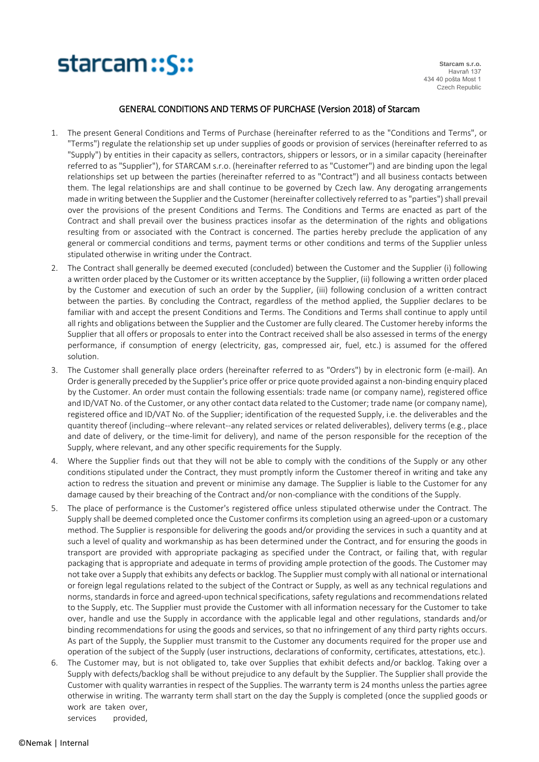

## GENERAL CONDITIONS AND TERMS OF PURCHASE (Version 2018) of Starcam

- 1. The present General Conditions and Terms of Purchase (hereinafter referred to as the "Conditions and Terms", or "Terms") regulate the relationship set up under supplies of goods or provision of services (hereinafter referred to as "Supply") by entities in their capacity as sellers, contractors, shippers or lessors, or in a similar capacity (hereinafter referred to as "Supplier"), for STARCAM s.r.o. (hereinafter referred to as "Customer") and are binding upon the legal relationships set up between the parties (hereinafter referred to as "Contract") and all business contacts between them. The legal relationships are and shall continue to be governed by Czech law. Any derogating arrangements made in writing between the Supplier and the Customer (hereinafter collectively referred to as "parties") shall prevail over the provisions of the present Conditions and Terms. The Conditions and Terms are enacted as part of the Contract and shall prevail over the business practices insofar as the determination of the rights and obligations resulting from or associated with the Contract is concerned. The parties hereby preclude the application of any general or commercial conditions and terms, payment terms or other conditions and terms of the Supplier unless stipulated otherwise in writing under the Contract.
- 2. The Contract shall generally be deemed executed (concluded) between the Customer and the Supplier (i) following a written order placed by the Customer or its written acceptance by the Supplier, (ii) following a written order placed by the Customer and execution of such an order by the Supplier, (iii) following conclusion of a written contract between the parties. By concluding the Contract, regardless of the method applied, the Supplier declares to be familiar with and accept the present Conditions and Terms. The Conditions and Terms shall continue to apply until all rights and obligations between the Supplier and the Customer are fully cleared. The Customer hereby informs the Supplier that all offers or proposals to enter into the Contract received shall be also assessed in terms of the energy performance, if consumption of energy (electricity, gas, compressed air, fuel, etc.) is assumed for the offered solution.
- 3. The Customer shall generally place orders (hereinafter referred to as "Orders") by in electronic form (e-mail). An Order is generally preceded by the Supplier's price offer or price quote provided against a non-binding enquiry placed by the Customer. An order must contain the following essentials: trade name (or company name), registered office and ID/VAT No. of the Customer, or any other contact data related to the Customer; trade name (or company name), registered office and ID/VAT No. of the Supplier; identification of the requested Supply, i.e. the deliverables and the quantity thereof (including--where relevant--any related services or related deliverables), delivery terms (e.g., place and date of delivery, or the time-limit for delivery), and name of the person responsible for the reception of the Supply, where relevant, and any other specific requirements for the Supply.
- 4. Where the Supplier finds out that they will not be able to comply with the conditions of the Supply or any other conditions stipulated under the Contract, they must promptly inform the Customer thereof in writing and take any action to redress the situation and prevent or minimise any damage. The Supplier is liable to the Customer for any damage caused by their breaching of the Contract and/or non-compliance with the conditions of the Supply.
- 5. The place of performance is the Customer's registered office unless stipulated otherwise under the Contract. The Supply shall be deemed completed once the Customer confirms its completion using an agreed-upon or a customary method. The Supplier is responsible for delivering the goods and/or providing the services in such a quantity and at such a level of quality and workmanship as has been determined under the Contract, and for ensuring the goods in transport are provided with appropriate packaging as specified under the Contract, or failing that, with regular packaging that is appropriate and adequate in terms of providing ample protection of the goods. The Customer may not take over a Supply that exhibits any defects or backlog. The Supplier must comply with all national or international or foreign legal regulations related to the subject of the Contract or Supply, as well as any technical regulations and norms, standards in force and agreed-upon technical specifications, safety regulations and recommendations related to the Supply, etc. The Supplier must provide the Customer with all information necessary for the Customer to take over, handle and use the Supply in accordance with the applicable legal and other regulations, standards and/or binding recommendations for using the goods and services, so that no infringement of any third party rights occurs. As part of the Supply, the Supplier must transmit to the Customer any documents required for the proper use and operation of the subject of the Supply (user instructions, declarations of conformity, certificates, attestations, etc.).
- 6. The Customer may, but is not obligated to, take over Supplies that exhibit defects and/or backlog. Taking over a Supply with defects/backlog shall be without prejudice to any default by the Supplier. The Supplier shall provide the Customer with quality warranties in respect of the Supplies. The warranty term is 24 months unless the parties agree otherwise in writing. The warranty term shall start on the day the Supply is completed (once the supplied goods or work are taken over,

services provided,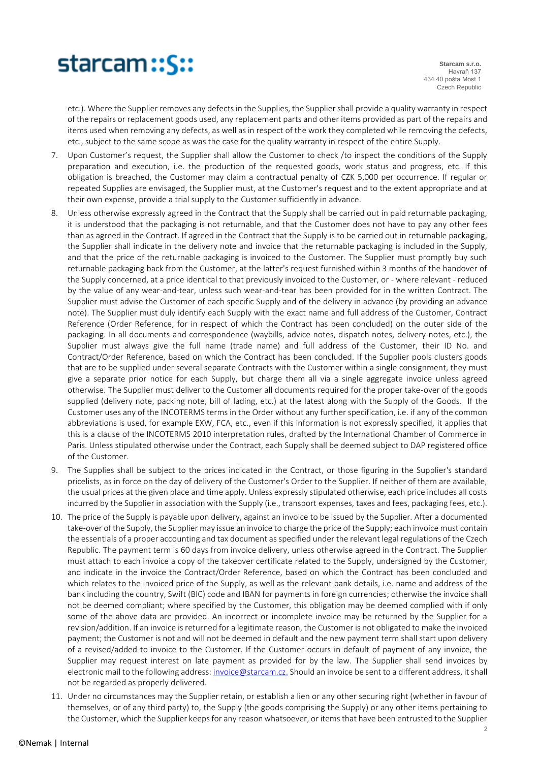

**Starcam s.r.o.** Havraň 137 434 40 pošta Most 1 Czech Republic

etc.). Where the Supplier removes any defects in the Supplies, the Supplier shall provide a quality warranty in respect of the repairs or replacement goods used, any replacement parts and other items provided as part of the repairs and items used when removing any defects, as well as in respect of the work they completed while removing the defects, etc., subject to the same scope as was the case for the quality warranty in respect of the entire Supply.

- 7. Upon Customer's request, the Supplier shall allow the Customer to check /to inspect the conditions of the Supply preparation and execution, i.e. the production of the requested goods, work status and progress, etc. If this obligation is breached, the Customer may claim a contractual penalty of CZK 5,000 per occurrence. If regular or repeated Supplies are envisaged, the Supplier must, at the Customer's request and to the extent appropriate and at their own expense, provide a trial supply to the Customer sufficiently in advance.
- 8. Unless otherwise expressly agreed in the Contract that the Supply shall be carried out in paid returnable packaging, it is understood that the packaging is not returnable, and that the Customer does not have to pay any other fees than as agreed in the Contract. If agreed in the Contract that the Supply is to be carried out in returnable packaging, the Supplier shall indicate in the delivery note and invoice that the returnable packaging is included in the Supply, and that the price of the returnable packaging is invoiced to the Customer. The Supplier must promptly buy such returnable packaging back from the Customer, at the latter's request furnished within 3 months of the handover of the Supply concerned, at a price identical to that previously invoiced to the Customer, or - where relevant - reduced by the value of any wear-and-tear, unless such wear-and-tear has been provided for in the written Contract. The Supplier must advise the Customer of each specific Supply and of the delivery in advance (by providing an advance note). The Supplier must duly identify each Supply with the exact name and full address of the Customer, Contract Reference (Order Reference, for in respect of which the Contract has been concluded) on the outer side of the packaging. In all documents and correspondence (waybills, advice notes, dispatch notes, delivery notes, etc.), the Supplier must always give the full name (trade name) and full address of the Customer, their ID No. and Contract/Order Reference, based on which the Contract has been concluded. If the Supplier pools clusters goods that are to be supplied under several separate Contracts with the Customer within a single consignment, they must give a separate prior notice for each Supply, but charge them all via a single aggregate invoice unless agreed otherwise. The Supplier must deliver to the Customer all documents required for the proper take-over of the goods supplied (delivery note, packing note, bill of lading, etc.) at the latest along with the Supply of the Goods. If the Customer uses any of the INCOTERMS terms in the Order without any further specification, i.e. if any of the common abbreviations is used, for example EXW, FCA, etc., even if this information is not expressly specified, it applies that this is a clause of the INCOTERMS 2010 interpretation rules, drafted by the International Chamber of Commerce in Paris. Unless stipulated otherwise under the Contract, each Supply shall be deemed subject to DAP registered office of the Customer.
- 9. The Supplies shall be subject to the prices indicated in the Contract, or those figuring in the Supplier's standard pricelists, as in force on the day of delivery of the Customer's Order to the Supplier. If neither of them are available, the usual prices at the given place and time apply. Unless expressly stipulated otherwise, each price includes all costs incurred by the Supplier in association with the Supply (i.e., transport expenses, taxes and fees, packaging fees, etc.).
- 10. The price of the Supply is payable upon delivery, against an invoice to be issued by the Supplier. After a documented take-over of the Supply, the Supplier may issue an invoice to charge the price of the Supply; each invoice must contain the essentials of a proper accounting and tax document as specified under the relevant legal regulations of the Czech Republic. The payment term is 60 days from invoice delivery, unless otherwise agreed in the Contract. The Supplier must attach to each invoice a copy of the takeover certificate related to the Supply, undersigned by the Customer, and indicate in the invoice the Contract/Order Reference, based on which the Contract has been concluded and which relates to the invoiced price of the Supply, as well as the relevant bank details, i.e. name and address of the bank including the country, Swift (BIC) code and IBAN for payments in foreign currencies; otherwise the invoice shall not be deemed compliant; where specified by the Customer, this obligation may be deemed complied with if only some of the above data are provided. An incorrect or incomplete invoice may be returned by the Supplier for a revision/addition. If an invoice is returned for a legitimate reason, the Customer is not obligated to make the invoiced payment; the Customer is not and will not be deemed in default and the new payment term shall start upon delivery of a revised/added-to invoice to the Customer. If the Customer occurs in default of payment of any invoice, the Supplier may request interest on late payment as provided for by the law. The Supplier shall send invoices by electronic mail to the following address: [invoice@starcam.cz.](mailto:invoice@starcam.cz) Should an invoice be sent to a different address, it shall not be regarded as properly delivered.
- 11. Under no circumstances may the Supplier retain, or establish a lien or any other securing right (whether in favour of themselves, or of any third party) to, the Supply (the goods comprising the Supply) or any other items pertaining to the Customer, which the Supplier keeps for any reason whatsoever, or items that have been entrusted to the Supplier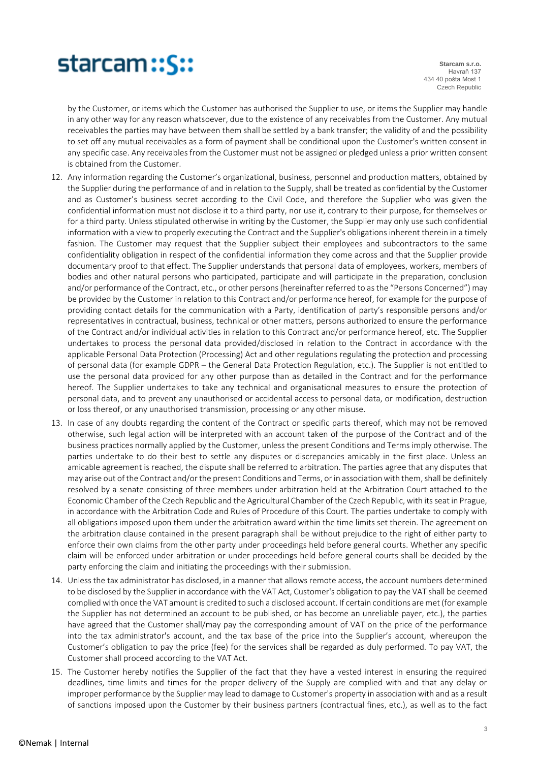

**Starcam s.r.o.** Havraň 137 434 40 pošta Most 1 Czech Republic

by the Customer, or items which the Customer has authorised the Supplier to use, or items the Supplier may handle in any other way for any reason whatsoever, due to the existence of any receivables from the Customer. Any mutual receivables the parties may have between them shall be settled by a bank transfer; the validity of and the possibility to set off any mutual receivables as a form of payment shall be conditional upon the Customer's written consent in any specific case. Any receivables from the Customer must not be assigned or pledged unless a prior written consent is obtained from the Customer.

- 12. Any information regarding the Customer's organizational, business, personnel and production matters, obtained by the Supplier during the performance of and in relation to the Supply, shall be treated as confidential by the Customer and as Customer's business secret according to the Civil Code, and therefore the Supplier who was given the confidential information must not disclose it to a third party, nor use it, contrary to their purpose, for themselves or for a third party. Unless stipulated otherwise in writing by the Customer, the Supplier may only use such confidential information with a view to properly executing the Contract and the Supplier's obligations inherent therein in a timely fashion. The Customer may request that the Supplier subject their employees and subcontractors to the same confidentiality obligation in respect of the confidential information they come across and that the Supplier provide documentary proof to that effect. The Supplier understands that personal data of employees, workers, members of bodies and other natural persons who participated, participate and will participate in the preparation, conclusion and/or performance of the Contract, etc., or other persons (hereinafter referred to as the "Persons Concerned") may be provided by the Customer in relation to this Contract and/or performance hereof, for example for the purpose of providing contact details for the communication with a Party, identification of party's responsible persons and/or representatives in contractual, business, technical or other matters, persons authorized to ensure the performance of the Contract and/or individual activities in relation to this Contract and/or performance hereof, etc. The Supplier undertakes to process the personal data provided/disclosed in relation to the Contract in accordance with the applicable Personal Data Protection (Processing) Act and other regulations regulating the protection and processing of personal data (for example GDPR – the General Data Protection Regulation, etc.). The Supplier is not entitled to use the personal data provided for any other purpose than as detailed in the Contract and for the performance hereof. The Supplier undertakes to take any technical and organisational measures to ensure the protection of personal data, and to prevent any unauthorised or accidental access to personal data, or modification, destruction or loss thereof, or any unauthorised transmission, processing or any other misuse.
- 13. In case of any doubts regarding the content of the Contract or specific parts thereof, which may not be removed otherwise, such legal action will be interpreted with an account taken of the purpose of the Contract and of the business practices normally applied by the Customer, unless the present Conditions and Terms imply otherwise. The parties undertake to do their best to settle any disputes or discrepancies amicably in the first place. Unless an amicable agreement is reached, the dispute shall be referred to arbitration. The parties agree that any disputes that may arise out of the Contract and/or the present Conditions and Terms, or in association with them, shall be definitely resolved by a senate consisting of three members under arbitration held at the Arbitration Court attached to the Economic Chamber of the Czech Republic and the Agricultural Chamber of the Czech Republic, with its seat in Prague, in accordance with the Arbitration Code and Rules of Procedure of this Court. The parties undertake to comply with all obligations imposed upon them under the arbitration award within the time limits set therein. The agreement on the arbitration clause contained in the present paragraph shall be without prejudice to the right of either party to enforce their own claims from the other party under proceedings held before general courts. Whether any specific claim will be enforced under arbitration or under proceedings held before general courts shall be decided by the party enforcing the claim and initiating the proceedings with their submission.
- 14. Unless the tax administrator has disclosed, in a manner that allows remote access, the account numbers determined to be disclosed by the Supplier in accordance with the VAT Act, Customer's obligation to pay the VAT shall be deemed complied with once the VAT amount is credited to such a disclosed account. If certain conditions are met (for example the Supplier has not determined an account to be published, or has become an unreliable payer, etc.), the parties have agreed that the Customer shall/may pay the corresponding amount of VAT on the price of the performance into the tax administrator's account, and the tax base of the price into the Supplier's account, whereupon the Customer's obligation to pay the price (fee) for the services shall be regarded as duly performed. To pay VAT, the Customer shall proceed according to the VAT Act.
- 15. The Customer hereby notifies the Supplier of the fact that they have a vested interest in ensuring the required deadlines, time limits and times for the proper delivery of the Supply are complied with and that any delay or improper performance by the Supplier may lead to damage to Customer's property in association with and as a result of sanctions imposed upon the Customer by their business partners (contractual fines, etc.), as well as to the fact